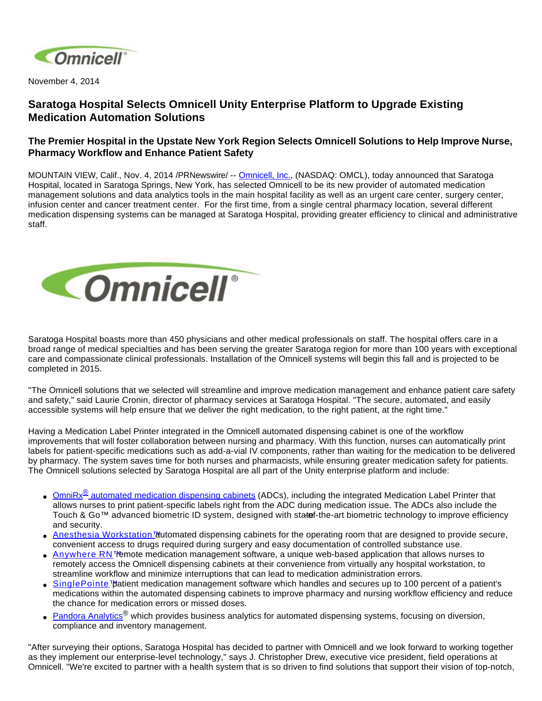

November 4, 2014

## **Saratoga Hospital Selects Omnicell Unity Enterprise Platform to Upgrade Existing Medication Automation Solutions**

## **The Premier Hospital in the Upstate New York Region Selects Omnicell Solutions to Help Improve Nurse, Pharmacy Workflow and Enhance Patient Safety**

MOUNTAIN VIEW, Calif., Nov. 4, 2014 /PRNewswire/ -- [Omnicell, Inc.](http://www.omnicell.com/), (NASDAQ: OMCL), today announced that Saratoga Hospital, located in Saratoga Springs, New York, has selected Omnicell to be its new provider of automated medication management solutions and data analytics tools in the main hospital facility as well as an urgent care center, surgery center, infusion center and cancer treatment center. For the first time, from a single central pharmacy location, several different medication dispensing systems can be managed at Saratoga Hospital, providing greater efficiency to clinical and administrative staff.



Saratoga Hospital boasts more than 450 physicians and other medical professionals on staff. The hospital offers care in a broad range of medical specialties and has been serving the greater Saratoga region for more than 100 years with exceptional care and compassionate clinical professionals. Installation of the Omnicell systems will begin this fall and is projected to be completed in 2015.

"The Omnicell solutions that we selected will streamline and improve medication management and enhance patient care safety and safety," said Laurie Cronin, director of pharmacy services at Saratoga Hospital. "The secure, automated, and easily accessible systems will help ensure that we deliver the right medication, to the right patient, at the right time."

Having a Medication Label Printer integrated in the Omnicell automated dispensing cabinet is one of the workflow improvements that will foster collaboration between nursing and pharmacy. With this function, nurses can automatically print labels for patient-specific medications such as add-a-vial IV components, rather than waiting for the medication to be delivered by pharmacy. The system saves time for both nurses and pharmacists, while ensuring greater medication safety for patients. The Omnicell solutions selected by Saratoga Hospital are all part of the Unity enterprise platform and include:

- Omni $Rx^{\omega}$  [automated medication dispensing cabinets](http://www.omnicell.com/Products/Medication_Dispensing/Automated_Medication_Dispensing_Cabinets.aspx) (ADCs), including the integrated Medication Label Printer that allows nurses to print patient-specific labels right from the ADC during medication issue. The ADCs also include the Touch & Go™ advanced biometric ID system, designed with statef-the-art biometric technology to improve efficiency and security.
- Anesthesi[a](http://www.omnicell.com/Products/Medication_Dispensing/Anesthesia_Workstation_G4.aspx) Workstation<sup>™</sup> automated dispensing cabinets for the operating room that are designed to provide secure, convenient access to drugs required during surgery and easy documentation of controlled substance use.
- [Anywhere RN™](http://www.omnicell.com/Products/Medication_Dispensing/Anywhere_RN_Remote_Medication_Management.aspx) emote medication management software, a unique web-based application that allows nurses to remotely access the Omnicell dispensing cabinets at their convenience from virtually any hospital workstation, to streamline workflow and minimize interruptions that can lead to medication administration errors.
- [SinglePointe™](http://www.omnicell.com/Products/Medication_Dispensing/SinglePointe_Patient_Medication_Management.aspx) patient medication management software which handles and secures up to 100 percent of a patient's medications within the automated dispensing cabinets to improve pharmacy and nursing workflow efficiency and reduce the chance for medication errors or missed doses.
- [Pandora Analytics](http://www.omnicell.com/Products/Business_Analytics.aspx)<sup>®</sup> which provides business analytics for automated dispensing systems, focusing on diversion, compliance and inventory management.

"After surveying their options, Saratoga Hospital has decided to partner with Omnicell and we look forward to working together as they implement our enterprise-level technology," says J. Christopher Drew, executive vice president, field operations at Omnicell. "We're excited to partner with a health system that is so driven to find solutions that support their vision of top-notch,